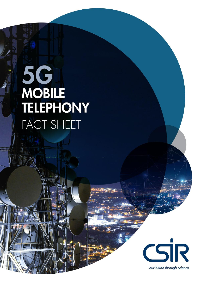# **5G**<br>MOBILE TELEPHONY **FACT SHEET**

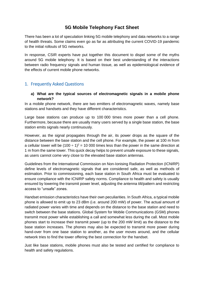# **5G Mobile Telephony Fact Sheet**

There has been a lot of speculation linking 5G mobile telephony and data networks to a range of health threats. Some claims even go as far as attributing the current COVID-19 pandemic to the initial rollouts of 5G networks.

In response, CSIR experts have put together this document to dispel some of the myths around 5G mobile telephony. It is based on their best understanding of the interactions between radio frequency signals and human tissue, as well as epidemiological evidence of the effects of current mobile phone networks.

# 1. Frequently Asked Questions

#### **a) What are the typical sources of electromagnetic signals in a mobile phone network?**

In a mobile phone network, there are two emitters of electromagnetic waves, namely base stations and handsets and they have different characteristics.

Large base stations can produce up to 100 000 times more power than a cell phone. Furthermore, because there are usually many users served by a single base station, the base station emits signals nearly continuously.

However, as the signal propagates through the air, its power drops as the square of the distance between the base station and the cell phone. For example, the power at 100 m from a cellular tower will be  $(100 \div 1)^2 = 10000$  times less than the power in the same direction at 1 m from the same tower. This quick decay helps to prevent unsafe exposure to these signals, as users cannot come very close to the elevated base station antennas.

Guidelines from the International Commission on Non-Ionising Radiation Protection (ICNIRP) define levels of electromagnetic signals that are considered safe, as well as methods of estimation. Prior to commissioning, each base station in South Africa must be evaluated to ensure compliance with the ICNIRP safety norms. Compliance to health and safety is usually ensured by lowering the transmit power level, adjusting the antenna tilt/pattern and restricting access to "unsafe" zones.

Handset emission characteristics have their own peculiarities. In South Africa, a typical mobile phone is allowed to emit up to 23 dBm (i.e. around 200 mW) of power. The actual amount of radiated power varies with time and depends on the distance to the base station and need to switch between the base stations. Global System for Mobile Communications (GSM) phones transmit most power while establishing a call and somewhat less during the call. Most mobile phones start to increase their transmit power (up to the 200 mW limit) as the distance to the base station increases. The phones may also be expected to transmit more power during hand-over from one base station to another, as the user moves around, and the cellular network tries to find the tower offering the best connection for the handset.

Just like base stations, mobile phones must also be tested and certified for compliance to health and safety regulations.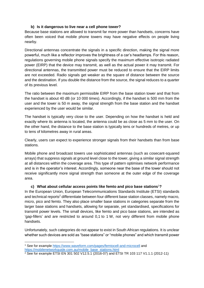# **b) Is it dangerous to live near a cell phone tower?**

Because base stations are allowed to transmit far more power than handsets, concerns have often been voiced that mobile phone towers may have negative effects on people living nearby.

Directional antennas concentrate the signals in a specific direction, making the signal more powerful, much like a reflector improves the brightness of a car's headlamps. For this reason, regulations governing mobile phone signals specify the maximum effective isotropic radiated power (EIRP) that the device may transmit, as well as the actual power it may transmit. For directional antennas, the transmitted power must be reduced to ensure that the EIRP limits are not exceeded. Radio signals get weaker as the square of distance between the source and the destination. If you double the distance from the source, the signal reduces to a quarter of its previous level.

The ratio between the maximum permissible EIRP from the base station tower and that from the handset is about 40 dB (or 10 000 times). Accordingly, if the handset is 500 mm from the user and the tower is 50 m away, the signal strength from the base station and the handset experienced by the user would be similar.

The handset is typically very close to the user. Depending on how the handset is held and exactly where its antenna is located, the antenna could be as close as 5 mm to the user. On the other hand, the distance to the base station is typically tens or hundreds of metres, or up to tens of kilometres away in rural areas.

Clearly, users can expect to experience stronger signals from their handsets than from base stations.

Mobile phone and broadcast towers use sophisticated antennas (such as cosecant-squared arrays) that suppress signals at ground level close to the tower, giving a similar signal strength at all distances within the coverage area. This type of pattern optimises network performance and is in the operator's interest. Accordingly, someone near the base of the tower should not receive significantly more signal strength than someone at the outer edge of the coverage area.

#### **c) What about cellular access points like femto and pico base stations**<sup>1</sup>**?**

In the European Union, European Telecommunications Standards Institute (ETSI) standards and technical reports<sup>2</sup> differentiate between four different base station classes, namely macro, micro, pico and femto. They also place smaller base stations in categories separate from the larger base stations and handsets, allowing for separate, yet standardised, specifications for transmit power levels. The small devices, like femto and pico base stations, are intended as 'gap-fillers' and are restricted to around 0,1 to 1 W, not very different from mobile phone handsets.

Unfortunately, such categories do not appear to exist in South African regulations. It is unclear whether such devices are sold as "base stations" or "mobile phones" and which transmit power

<sup>1</sup> See for example<https://www.waveform.com/pages/femtocell-and-microcell> and [https://mobilenetworkguide.com.au/mobile\\_base\\_stations.html](https://mobilenetworkguide.com.au/mobile_base_stations.html)

<sup>&</sup>lt;sup>2</sup> See for example ETSI EN 301 502 V12.5.1 (2016-07) and ETSI TR 103 117 V1.1.1 (2012-11)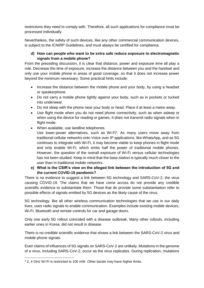restrictions they need to comply with. Therefore, all such applications for compliance must be processed individually.

Nevertheless, the safety of such devices, like any other commercial communication devices, is subject to the ICNIRP Guidelines, and must always be certified for compliance.

# **d) How can people who want to be extra safe reduce exposure to electromagnetic signals from a mobile phone?**

From the preceding discussion, it is clear that distance, power and exposure time all play a role. Decrease the time of exposure, increase the distance between you and the handset and only use your mobile phone in areas of good coverage, so that it does not increase power beyond the minimum necessary. Some practical hints include:

- Increase the distance between the mobile phone and your body, by using a headset or speakerphone.
- Do not carry a mobile phone tightly against your body, such as in pockets or tucked into underwear.
- Do not sleep with the phone near your body or head. Place it at least a metre away.
- Use flight mode when you do not need phone connectivity, such as when asleep or when using the device for reading or games. It does not transmit radio signals when in flight mode.
- When available, use landline telephones.
	- Use lower-power alternatives, such as Wi-Fi<sup>3</sup>. As many users move away from traditional cellular networks onto Voice over IP applications, like WhatsApp, and as 5G continues to integrate with Wi-Fi, it may become viable to keep phones in flight mode and only enable Wi-Fi, which emits half the power of traditional mobile phones. However, the question of the overall exposure of Wi-Fi versus cellular technologies has not been studied. Keep in mind that the base station is typically much closer to the user than in traditional mobile networks.

# **e) What is the CSIR's view on the alleged link between the introduction of 5G and the current COVID-19 pandemic?**

There is no evidence to suggest a link between 5G technology and SARS-CoV-2, the virus causing COVID-19. The claims that we have come across do not provide any credible scientific evidence to substantiate them. Those that do provide some substantiation refer to possible effects of signals emitted by 5G devices as the likely cause of the virus.

5G technology, like all other wireless communication technologies that we use in our daily lives, uses radio signals to enable communication. Examples include existing mobile devices, Wi-Fi, Bluetooth and remote controls for car and garage doors.

Only one early 5G rollout coincided with a disease outbreak. Many other rollouts, including earlier ones in Korea, did not result in disease.

There is no credible scientific evidence that shows a link between the SARS-CoV-2 virus and mobile phone signals.

Even claims of influences of 5G signals on SARS-CoV-2 are unlikely. Mutations in the genome of a virus, including SARS-CoV-2, occur as the virus replicates. During replication, mutations

<sup>-</sup><sup>3</sup> 2, 4 GHz Wi-Fi is restricted to 100 mW. Other bands may have higher limits.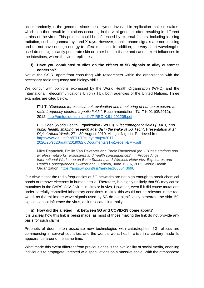occur randomly in the genome, since the enzymes involved in replication make mistakes, which can then result in mutations occurring in the viral genome, often resulting in different strains of the virus. This process could be influenced by external factors, including ionising radiation, such as gamma rays and X-rays. However, mobile phone signals are non-ionising and do not have enough energy to affect mutation. In addition, the very short wavelengths used do not significantly penetrate skin or other human tissue and cannot exert influences in the intestines, where the virus replicates.

# **f) Have you conducted studies on the effects of 5G signals to allay customer concerns?**

Not at the CSIR, apart from consulting with researchers within the organisation with the necessary radio frequency and biology skills.

We concur with opinions expressed by the World Health Organisation (WHO) and the International Telecommunications Union (ITU), both agencies of the United Nations. Three examples are cited below.

ITU-T, "*Guidance for assessment, evaluation and monitoring of human exposure to radio frequency electromagnetic fields*", Recommendation ITU-T K.91 (05/2012), 2012.<http://emfguide.itu.int/pdfs/T-REC-K.91-201205.pdf>

E. I. Edeh (World Health Organization - WHO). "*Electromagnetic fields (EMFs) and*  public health: shaping research agenda in the wake of 5G Tech". Presentation at 1<sup>st</sup> *Digital Africa Week*, 27 – 30 August 2019, Abuga, Nigeria. Retrieved from: [https://www.itu.int/en/ITU-T/studygroups/2017-](https://www.itu.int/en/ITU-T/studygroups/2017-2020/20/sg20rgafr/20190827/Documents/s1-p1-edeh-EMF.pdf) [2020/20/sg20rgafr/20190827/Documents/s1-p1-edeh-EMF.pdf](https://www.itu.int/en/ITU-T/studygroups/2017-2020/20/sg20rgafr/20190827/Documents/s1-p1-edeh-EMF.pdf)

Mike Repacholi, Emilie Van Deventer and Paolo Ravazzani (ed.). "*Base stations and wireless networks: exposures and health consequences*", in *Proceedings International Workshop on Base Stations and Wireless Networks: Exposures and Health Consequences*, Switzerland, Geneva, June 15-16, 2005, World Health Organization. <https://apps.who.int/iris/handle/10665/43698>

Our view is that the radio frequencies of 5G networks are not high enough to break chemical bonds or remove electrons in human tissue. Therefore, it is highly unlikely that 5G may cause mutations in the SARS-CoV-2 virus in-vitro or in-vivo. However, even if it did cause mutations under carefully controlled laboratory conditions in-vitro, this would not be relevant in the real world, as the millimetre-wave signals used by 5G do not significantly penetrate the skin. 5G signals cannot influence the virus, as it replicates internally.

# **g) How did the alleged link between 5G and COVID-19 come about?**

It is unclear how this link is being made, as most of those making the link do not provide any basis for such claims.

Prophets of doom often associate new technologies with catastrophes. 5G rollouts are commencing in several countries, and the world's worst health crisis in a century made its appearance around the same time.

What made this event different from previous ones is the availability of social media, enabling individuals to propagate untested wild speculations on a massive scale. With the atmosphere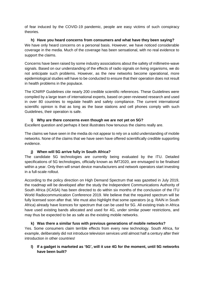of fear induced by the COVID-19 pandemic, people are easy victims of such conspiracy theories.

#### **h) Have you heard concerns from consumers and what have they been saying?** We have only heard concerns on a personal basis. However, we have noticed considerable coverage in the media. Much of the coverage has been sensational, with no real evidence to

Concerns have been raised by some industry associations about the safety of millimetre-wave signals. Based on our understanding of the effects of radio signals on living organisms, we do not anticipate such problems. However, as the new networks become operational, more epidemiological studies will have to be conducted to ensure that their operation does not result in health problems in the populace.

The ICNIRP Guidelines cite nearly 200 credible scientific references. These Guidelines were compiled by a large team of international experts, based on peer-reviewed research and used in over 80 countries to regulate health and safety compliance. The current international scientific opinion is that as long as the base stations and cell phones comply with such Guidelines, their operation is safe.

#### **i) Why are there concerns even though we are not yet on 5G?**

Excellent question and perhaps it best illustrates how tenuous the claims really are.

The claims we have seen in the media do not appear to rely on a solid understanding of mobile networks. None of the claims that we have seen have offered scientifically credible supporting evidence.

# **j) When will 5G arrive fully in South Africa?**

support the claims.

The candidate 5G technologies are currently being evaluated by the ITU. Detailed specifications of 5G technologies, officially known as IMT2020, are envisaged to be finalised within a year. Only then will smart device manufacturers and network operators start investing in a full-scale rollout.

According to the policy direction on High Demand Spectrum that was gazetted in July 2019, the roadmap will be developed after the study the Independent Communications Authority of South Africa (ICASA) has been directed to do within six months of the conclusion of the ITU World Radiocommunication Conference 2019. We believe that the required spectrum will be fully licensed soon after that. We must also highlight that some operators (e.g. RAIN in South Africa) already have licences for spectrum that can be used for 5G. All existing trials in Africa have used existing bands allocated and used for 4G, under similar power restrictions, and may thus be expected to be as safe as the existing mobile networks.

#### **k) Was there a similar fuss with previous generations of mobile networks?** Yes. Some consumers claim terrible effects from every new technology. South Africa, for example, deliberately did not introduce television services until almost half a century after their introduction in other countries!

**l) If a gadget is marketed as '5G', will it use 4G for the moment, until 5G networks have been built?**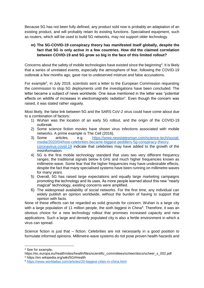Because 5G has not been fully defined, any product sold now is probably an adaptation of an existing product, and will probably retain its existing functions. Specialised equipment, such as routers, which will be used to build 5G networks, may not support older technology.

# **m) The 5G-COVID-19 conspiracy theory has manifested itself globally, despite the fact that 5G is only active in a few countries. How did the claimed correlation between COVID-19 and 5G grow so big in the face of this limited rollout?**

Concerns about the safety of mobile technologies have existed since the beginning<sup>4</sup>. It is likely that a series of unrelated events, especially the atmosphere of fear, following the COVID-19 outbreak a few months ago, gave rise to undeserved mistrust and false accusations.

For example<sup>5</sup>, in July 2019, scientists sent a letter to the European Commission requesting the commission to stop 5G deployments until the investigations have been concluded. The letter became a subject of news worldwide. One issue mentioned in the letter was "potential effects on wildlife of increases in electromagnetic radiation". Even though the concern was raised, it was stated rather vaguely.

Most likely, the false link between 5G and the SARS CoV-2 virus could have come about due to a combination of factors:

- 1) Wuhan was the location of an early 5G rollout, and the origin of the COVID-19 outbreak.
- 2) Some science fiction movies have shown virus infections associated with mobile networks. A prime example is The Cell (2016).
- 3) Some articles, e.g. [https://www.newstatesman.com/science-tech/social](https://www.newstatesman.com/science-tech/social-media/2020/04/how-celebrities-became-biggest-peddlers-5g-conspiracy-theory-coronavirus-covid-19)[media/2020/04/how-celebrities-became-biggest-peddlers-5g-conspiracy-theory](https://www.newstatesman.com/science-tech/social-media/2020/04/how-celebrities-became-biggest-peddlers-5g-conspiracy-theory-coronavirus-covid-19)[coronavirus-covid-19](https://www.newstatesman.com/science-tech/social-media/2020/04/how-celebrities-became-biggest-peddlers-5g-conspiracy-theory-coronavirus-covid-19) indicate that celebrities may have added to the growth of the misinformation.
- 4) 5G is the first mobile technology standard that uses two very different frequency ranges; the traditional signals below 6 GHz and much higher frequencies known as millimetre-wave. Some fear that the higher frequencies may have undesirable effects, despite the fact that many specialised systems have been running on millimetre-waves for many years.
- 5) Overall, 5G has raised large expectations and equally large marketing campaigns promoting the technology and its uses. As more people learned about this new "nearly magical" technology, existing concerns were amplified.
- 6) The widespread availability of social networks. For the first time, any individual can widely publish an opinion worldwide, without the burden of having to support that opinion with facts.

None of these effects can be regarded as solid grounds for concern. Wuhan is a large city with a large population of 11 million people, the sixth biggest in China<sup>6</sup>. Therefore, it was an obvious choice for a new technology rollout that promises increased capacity and new applications. Such a large and densely populated city is also a fertile environment in which a virus can spread.

Science fiction is just that – fiction. Celebrities are not necessarily in a good position to formulate informed opinions. Millimetre-wave systems do not pose proven health hazards and

<sup>4</sup> See for example,

https://ec.europa.eu/health/sites/health/files/scientific\_committees/scheer/docs/scheer\_s\_002.pdf <sup>5</sup> https://en.wikipedia.org/wiki/5G#Health

<sup>6</sup> <https://www.worldatlas.com/articles/20-biggest-cities-in-china.html>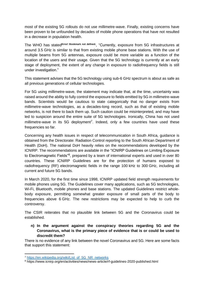most of the existing 5G rollouts do not use millimetre-wave. Finally, existing concerns have been proven to be unfounded by decades of mobile phone operations that have not resulted in a decrease in population health.

The WHO has stated**Error! Bookmark not defined.** , "Currently, exposure from 5G infrastructures at around 3.5 GHz is similar to that from existing mobile phone base stations. With the use of multiple beams from 5G antennas, exposure could be more variable as a function of the location of the users and their usage. Given that the 5G technology is currently at an early stage of deployment, the extent of any change in exposure to radiofrequency fields is still under investigation."

This statement advises that the 5G technology using sub-6 GHz spectrum is about as safe as all previous generations of cellular technologies.

For 5G using millimetre-wave, the statement may indicate that, at the time, uncertainty was raised around the ability to fully control the exposure to fields emitted by 5G in millimetre-wave bands. Scientists would be cautious to state categorically that no danger exists from millimetre-wave technologies, as a decades-long record, such as that of existing mobile networks, is not there to back them up. Such caution could be misinterpreted, and may have led to suspicion around the entire suite of 5G technologies. Ironically, China has not used millimetre-wave in its 5G deployment<sup>7</sup>. Indeed, only a few countries have used these frequencies so far.

Concerning any health issues in respect of telecommunication in South Africa, guidance is obtained from the Directorate: Radiation Control reporting to the South African Department of Health (DoH). The national DoH heavily relies on the recommendations developed by the ICNIRP. The recommendations are available in the "ICNIRP Guidelines on Limiting Exposure to Electromagnetic Fields"<sup>8</sup>, prepared by a team of international experts and used in over 80 countries. These ICNIRP Guidelines are for the protection of humans exposed to radiofrequency (RF) electromagnetic fields in the range 100 kHz to 300 GHz, including all current and future 5G bands.

In March 2020, for the first time since 1998, ICNIRP updated field strength requirements for mobile phones using 5G. The Guidelines cover many applications, such as 5G technologies, Wi-Fi, Bluetooth, mobile phones and base stations. The updated Guidelines restrict wholebody exposure, permitting somewhat greater exposure of small parts of the body to frequencies above 6 GHz. The new restrictions may be expected to help to curb the controversy.

The CSIR reiterates that no plausible link between 5G and the Coronavirus could be established.

**n) In the argument against the conspiracy theories regarding 5G and the Coronavirus, what is the primary piece of evidence that is or could be used to discredit them?**

There is no evidence of any link between the novel Coronavirus and 5G. Here are some facts that support this statement:

<sup>7</sup> [https://en.wikipedia.org/wiki/List\\_of\\_5G\\_NR\\_networks](https://en.wikipedia.org/wiki/List_of_5G_NR_networks)

<sup>8</sup> https://www.icnirp.org/en/activities/news/news-article/rf-guidelines-2020-published.html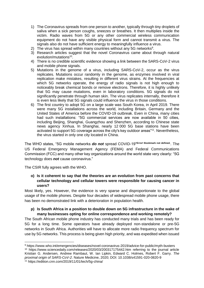- 1) The Coronavirus spreads from one person to another, typically through tiny droplets of saliva when a sick person coughs, sneezes or breathes. It then multiplies inside the victim. Radio waves from 5G or any other commercial wireless communication equipment do not have any visible physical form and cannot transmit a virus. The signals also do not have sufficient energy to meaningfully influence a virus.
- 2) The virus has spread within many countries without any 5G networks<sup>9</sup>.
- 3) Research articles suggest that the novel Coronavirus came about through natural evolution/mutations<sup>10</sup>.
- 4) There is no credible scientific evidence showing a link between the SARS-CoV-2 virus and mobile phone signals.
- 5) Mutations in the genome of a virus, including SARS-CoV-2, occur as the virus replicates. Mutations occur randomly in the genome, as enzymes involved in viral replication make mistakes, resulting in different virus strains. At the frequencies at which 5G networks operate, the energy of radio signals is not high enough to noticeably break chemical bonds or remove electrons. Therefore, it is highly unlikely that 5G may cause mutations, even in laboratory conditions. 5G signals do not significantly penetrate through human skin. The virus replicates internally, therefore it is even less likely that 5G signals could influence the virus in those conditions.
- 6) The first country to adopt 5G on a large scale was South Korea, in April 2019. There were many 5G installations across the world, including Britain, Germany and the United States of America before the COVID-19 outbreak. Even in China, many cities had such installations: "5G commercial services are now available in 50 cities, including Beijing, Shanghai, Guangzhou and Shenzhen, according to Chinese state news agency Xinhua. In Shanghai, nearly 12 000 5G base stations have been activated to support 5G coverage across the city's key outdoor areas"<sup>11</sup>. Nevertheless, the virus started in only one city located in China.

The WHO states, "5G mobile networks *do not* spread COVID-19"**Error! Bookmark not defined.**. The US Federal Emergency Management Agency (FEMA) and Federal Communications Commission (FCC) and many other key organizations around the world state very clearly: "5G technology does *not* cause coronavirus."

The CSIR fully agrees with the WHO.

-

## **o) Is it coherent to say that the theories are an evolution from past concerns that cellular technology and cellular towers were responsible for causing cancer in users?**

Most likely, yes. However, the evidence is very sparse and disproportionate to the global usage of the mobile phones. Despite four decades of widespread mobile phone usage, there has been no demonstrated link with a deterioration in population health.

#### **p) Is South Africa in a position to double down on 5G infrastructure in the wake of many businesses opting for online correspondence and working remotely?**

The South African mobile phone industry has conducted many trials and has been ready for 5G for a long time. Some operators have already deployed non-standalone or pre-5G networks in South Africa. Authorities will have to allocate more radio frequency spectrum for use by 5G networks. This process is being given high priority, and was expedited when issued

<sup>9</sup> https://www.who.int/emergencies/diseases/novel-coronavirus-2019/advice-for-public/myth-busters <sup>10</sup> https://www.sciencedaily.com/releases/2020/03/200317175442.htm referring to the journal article Kristian G. Andersen, Andrew Rambaut, W. Ian Lipkin, Edward C. Holmes, Robert F. Garry. *The proximal origin of SARS-CoV-2*. Nature Medicine, 2020; DOI: 10.1038/s41591-020-0820-9 <sup>11</sup> https://edition.cnn.com/2019/11/01/tech/5g-china/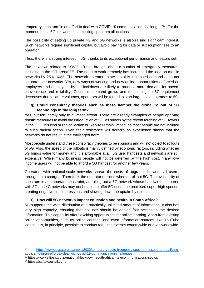temporary spectrum "in an effort to deal with COVID-19 communication challenges"<sup>12</sup>. For the moment, most '5G' networks use existing spectrum allocations.

The possibility of setting up private 4G and 5G networks is also raising significant interest. Such networks require significant capital, but avoid paying for data or subscription fees to an operator.

Thus, there is a strong interest in 5G, thanks to its exceptional performance and feature set.

The lockdown related to COVID-19 has brought about a number of emergency measures, including in the ICT arena<sup>13,14</sup>. The need to work remotely has increased the load on mobile networks by 25 to 60%. The network operators state that this increased demand does not saturate their networks. Yet, new ways of working and new online opportunities enforced on employers and employees by the lockdown are likely to produce more demand for speed, convenience and reliability. Once this demand grows and the pricing on 5G equipment decreases due to larger volumes, operators will be forced to start large-scale upgrades to 5G.

# **q) Could conspiracy theories such as these hamper the global rollout of 5G technology in the long term?**

Yes, but fortunately only to a limited extent. There are already examples of people applying drastic measures to avoid the introduction of 5G, as shown by the recent torching of 5G towers in the UK. This kind or radical action is likely to remain limited, as most people are not inclined to such radical action. Even their resistance will dwindle as experience shows that the networks do not result in the envisaged harm.

Most people understand these conspiracy theories to be spurious and will not object to rollouts of 5G. Also, the speed of the rollouts is mainly defined by economic factors, including whether 5G brings value for money and it is affordable at all. 5G user handsets and networks are still expensive. While many business people will not be deterred by the high cost, many lowincome users will not be able to afford a 5G handset for another few years.

Operators with national-scale networks spread the costs of upgrades between all users, through data charges. Therefore, the operator decides when to roll out 5G. The availability of spectrum is an important constraint, as rolling out a 5G network whose bandwidth is shared with 3G and 4G networks may not be able to offer 5G users the promised super-high speeds, creating negative first impressions and slowing down the uptake by users.

# **r) How will 5G networks impact education and health in South Africa?**

5G supports the wide distribution of a practically unlimited amount of information. It also has very high capacity, ensuring that no user should be denied fast access to the desired information. This capability offers exciting opportunities for online learning. Apart from existing online opportunities, such as online courses, and even information sources, like YouTube videos, it is, in principle, possible to conduct real-time classes countrywide or even worldwide.

<sup>12</sup> [https://www.icasa.org.za/news/2020/temporary-radio-frequency-spectrum-issued-to-qualifying](https://www.icasa.org.za/news/2020/temporary-radio-frequency-spectrum-issued-to-qualifying-applicants-in-an-effort-to-deal-with-covid-19-communication-challenges)[applicants-in-an-effort-to-deal-with-covid-19-communication-challenges](https://www.icasa.org.za/news/2020/temporary-radio-frequency-spectrum-issued-to-qualifying-applicants-in-an-effort-to-deal-with-covid-19-communication-challenges)

<sup>13</sup> https://www.ellipsis.co.za/national-lockdown-south-african-telecommunications-sector/

<sup>14</sup> https://ict.fttxcouncil.com/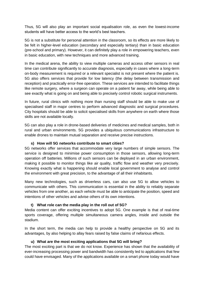Thus, 5G will also play an important social equalisation role, as even the lowest-income students will have better access to the world's best teachers.

5G is not a substitute for personal attention in the classroom, so its effects are more likely to be felt in higher-level education (secondary and especially tertiary) than in basic education (pre-school and primary). However, it can definitely play a role in empowering teachers, even in basic education, with new techniques and more advanced training.

In the medical arena, the ability to view multiple cameras and access other sensors in real time can contribute significantly to accurate diagnosis, especially in cases where a long-term on-body measurement is required or a relevant specialist is not present where the patient is. 5G also offers services that provide for low latency (the delay between transmission and reception) and practically error-free operation. These services are intended to facilitate things like remote surgery, where a surgeon can operate on a patient far away, while being able to see exactly what is going on and being able to precisely control robotic surgical instruments.

In future, rural clinics with nothing more than nursing staff should be able to make use of specialised staff in major centres to perform advanced diagnostic and surgical procedures. City hospitals should be able to solicit specialised skills from anywhere on earth where those skills are not available locally.

5G can also play a role in drone-based deliveries of medicines and medical samples, both in rural and urban environments. 5G provides a ubiquitous communications infrastructure to enable drones to maintain mutual separation and receive precise instructions.

#### **s) How will 5G networks contribute to smart cities?**

5G networks offer services that accommodate very large numbers of simple sensors. The service is designed to minimise power consumption in those sensors, allowing long-term operation off batteries. Millions of such sensors can be deployed in an urban environment, making it possible to monitor things like air quality, traffic flow and weather very precisely. Knowing exactly what is happening should enable local government to analyse and control the environment with great precision, to the advantage of all their inhabitants.

Many new technologies, such as driverless cars, can also use 5G to allow vehicles to communicate with others. This communication is essential in the ability to reliably separate vehicles from one another, as each vehicle must be able to anticipate the position, speed and intentions of other vehicles and advise others of its own intentions.

# **t) What role can the media play in the roll out of 5G?**

Media content can offer exciting incentives to adopt 5G. One example is that of real-time sports coverage, offering multiple simultaneous camera angles, inside and outside the stadium.

In the short term, the media can help to provide a healthy perspective on 5G and its advantages, by also helping to allay fears raised by false claims of nefarious effects.

#### **u) What are the most exciting applications that 5G will bring?**

The most exciting part is that we do not know. Experience has shown that the availability of ever-increasing processing power and bandwidth has consistently led to applications that few could have envisaged. Many of the applications available on a smart phone today would have